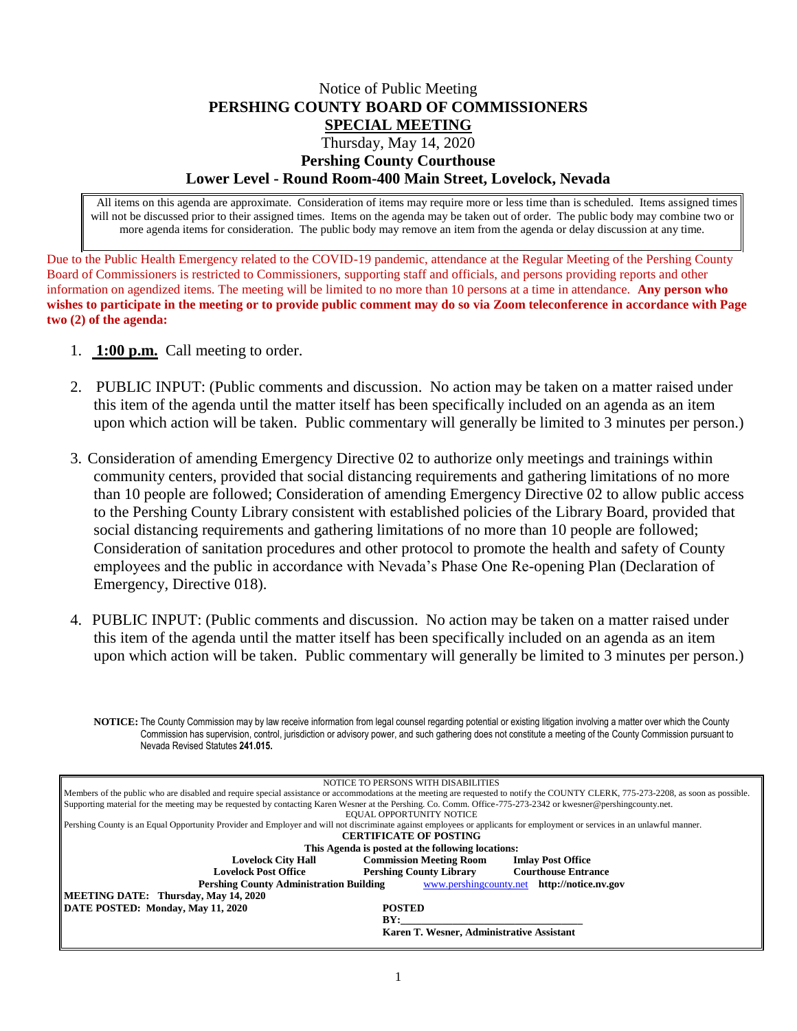## Notice of Public Meeting **PERSHING COUNTY BOARD OF COMMISSIONERS SPECIAL MEETING** Thursday, May 14, 2020 **Pershing County Courthouse Lower Level - Round Room-400 Main Street, Lovelock, Nevada**

All items on this agenda are approximate. Consideration of items may require more or less time than is scheduled. Items assigned times will not be discussed prior to their assigned times. Items on the agenda may be taken out of order. The public body may combine two or more agenda items for consideration. The public body may remove an item from the agenda or delay discussion at any time.

Due to the Public Health Emergency related to the COVID-19 pandemic, attendance at the Regular Meeting of the Pershing County Board of Commissioners is restricted to Commissioners, supporting staff and officials, and persons providing reports and other information on agendized items. The meeting will be limited to no more than 10 persons at a time in attendance. **Any person who wishes to participate in the meeting or to provide public comment may do so via Zoom teleconference in accordance with Page two (2) of the agenda:** 

- 1. **1:00 p.m.** Call meeting to order.
- 2. PUBLIC INPUT: (Public comments and discussion. No action may be taken on a matter raised under this item of the agenda until the matter itself has been specifically included on an agenda as an item upon which action will be taken. Public commentary will generally be limited to 3 minutes per person.)
- 3. Consideration of amending Emergency Directive 02 to authorize only meetings and trainings within community centers, provided that social distancing requirements and gathering limitations of no more than 10 people are followed; Consideration of amending Emergency Directive 02 to allow public access to the Pershing County Library consistent with established policies of the Library Board, provided that social distancing requirements and gathering limitations of no more than 10 people are followed; Consideration of sanitation procedures and other protocol to promote the health and safety of County employees and the public in accordance with Nevada's Phase One Re-opening Plan (Declaration of Emergency, Directive 018).
- 4. PUBLIC INPUT: (Public comments and discussion. No action may be taken on a matter raised under this item of the agenda until the matter itself has been specifically included on an agenda as an item upon which action will be taken. Public commentary will generally be limited to 3 minutes per person.)

**NOTICE:** The County Commission may by law receive information from legal counsel regarding potential or existing litigation involving a matter over which the County Commission has supervision, control, jurisdiction or advisory power, and such gathering does not constitute a meeting of the County Commission pursuant to Nevada Revised Statutes **241.015.**

| NOTICE TO PERSONS WITH DISABILITIES                                                                                                                                                 |  |
|-------------------------------------------------------------------------------------------------------------------------------------------------------------------------------------|--|
| Members of the public who are disabled and require special assistance or accommodations at the meeting are requested to notify the COUNTY CLERK, 775-273-2208, as soon as possible. |  |
| Supporting material for the meeting may be requested by contacting Karen Wesner at the Pershing. Co. Comm. Office-775-273-2342 or kwesner@pershingcounty.net.                       |  |
| EQUAL OPPORTUNITY NOTICE                                                                                                                                                            |  |
| Pershing County is an Equal Opportunity Provider and Employer and will not discriminate against employees or applicants for employment or services in an unlawful manner.           |  |
| <b>CERTIFICATE OF POSTING</b>                                                                                                                                                       |  |
| This Agenda is posted at the following locations:                                                                                                                                   |  |
| <b>Commission Meeting Room</b><br><b>Lovelock City Hall</b><br><b>Imlay Post Office</b>                                                                                             |  |
| <b>Lovelock Post Office</b><br><b>Pershing County Library</b><br><b>Courthouse Entrance</b>                                                                                         |  |
| <b>Pershing County Administration Building</b><br>www.pershingcounty.net http://notice.nv.gov                                                                                       |  |
| <b>MEETING DATE: Thursday, May 14, 2020</b>                                                                                                                                         |  |
| DATE POSTED: Monday, May 11, 2020<br><b>POSTED</b>                                                                                                                                  |  |
| BY:                                                                                                                                                                                 |  |
| Karen T. Wesner, Administrative Assistant                                                                                                                                           |  |
|                                                                                                                                                                                     |  |